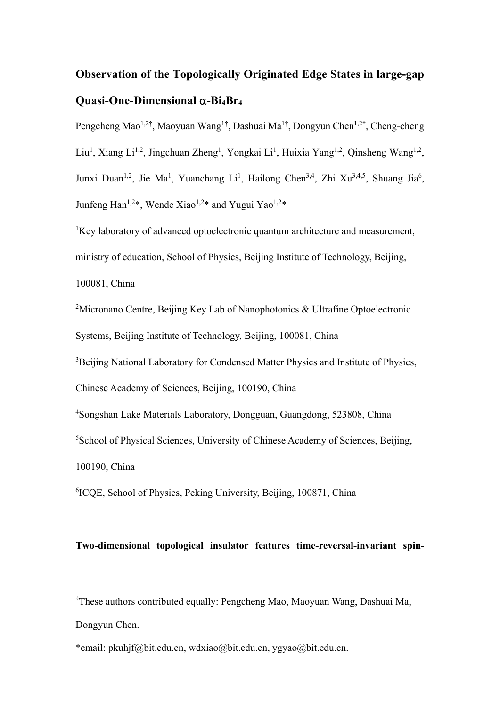## **Observation of the Topologically Originated Edge States in large-gap**   $Quasi-One-Dimensional  $\alpha$ -Bi<sub>4</sub>Br<sub>4</sub>$

Pengcheng Mao<sup>1,2†</sup>, Maoyuan Wang<sup>1†</sup>, Dashuai Ma<sup>1†</sup>, Dongyun Chen<sup>1,2†</sup>, Cheng-cheng Liu<sup>1</sup>, Xiang Li<sup>1,2</sup>, Jingchuan Zheng<sup>1</sup>, Yongkai Li<sup>1</sup>, Huixia Yang<sup>1,2</sup>, Qinsheng Wang<sup>1,2</sup>, Junxi Duan<sup>1,2</sup>, Jie Ma<sup>1</sup>, Yuanchang Li<sup>1</sup>, Hailong Chen<sup>3,4</sup>, Zhi Xu<sup>3,4,5</sup>, Shuang Jia<sup>6</sup>, Junfeng Han<sup>1,2\*</sup>, Wende Xiao<sup>1,2\*</sup> and Yugui Yao<sup>1,2\*</sup>

<sup>1</sup>Key laboratory of advanced optoelectronic quantum architecture and measurement, ministry of education, School of Physics, Beijing Institute of Technology, Beijing, 100081, China

<sup>2</sup>Micronano Centre, Beijing Key Lab of Nanophotonics & Ultrafine Optoelectronic Systems, Beijing Institute of Technology, Beijing, 100081, China

<sup>3</sup>Beijing National Laboratory for Condensed Matter Physics and Institute of Physics,

Chinese Academy of Sciences, Beijing, 100190, China

4 Songshan Lake Materials Laboratory, Dongguan, Guangdong, 523808, China

5 School of Physical Sciences, University of Chinese Academy of Sciences, Beijing,

100190, China

6 ICQE, School of Physics, Peking University, Beijing, 100871, China

## **Two-dimensional topological insulator features time-reversal-invariant spin-**

———————————————————————————————————————————————————

† These authors contributed equally: Pengcheng Mao, Maoyuan Wang, Dashuai Ma, Dongyun Chen.

\*email: pkuhjf@bit.edu.cn, wdxiao@bit.edu.cn, ygyao@bit.edu.cn.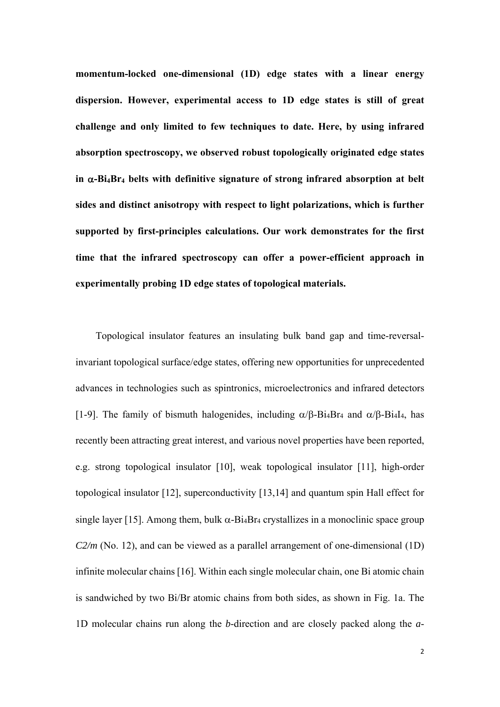**momentum-locked one-dimensional (1D) edge states with a linear energy dispersion. However, experimental access to 1D edge states is still of great challenge and only limited to few techniques to date. Here, by using infrared absorption spectroscopy, we observed robust topologically originated edge states**  in  $\alpha$ -Bi<sub>4</sub>Br<sub>4</sub> belts with definitive signature of strong infrared absorption at belt **sides and distinct anisotropy with respect to light polarizations, which is further supported by first-principles calculations. Our work demonstrates for the first time that the infrared spectroscopy can offer a power-efficient approach in experimentally probing 1D edge states of topological materials.**

Topological insulator features an insulating bulk band gap and time-reversalinvariant topological surface/edge states, offering new opportunities for unprecedented advances in technologies such as spintronics, microelectronics and infrared detectors [1-9]. The family of bismuth halogenides, including  $\alpha/\beta$ -Bi4Br<sub>4</sub> and  $\alpha/\beta$ -Bi4I<sub>4</sub>, has recently been attracting great interest, and various novel properties have been reported, e.g. strong topological insulator [10], weak topological insulator [11], high-order topological insulator [12], superconductivity [13,14] and quantum spin Hall effect for single layer [15]. Among them, bulk  $\alpha$ -Bi<sub>4</sub>Br<sub>4</sub> crystallizes in a monoclinic space group *C2/m* (No. 12), and can be viewed as a parallel arrangement of one-dimensional (1D) infinite molecular chains [16]. Within each single molecular chain, one Bi atomic chain is sandwiched by two Bi/Br atomic chains from both sides, as shown in Fig. 1a. The 1D molecular chains run along the *b*-direction and are closely packed along the *a*-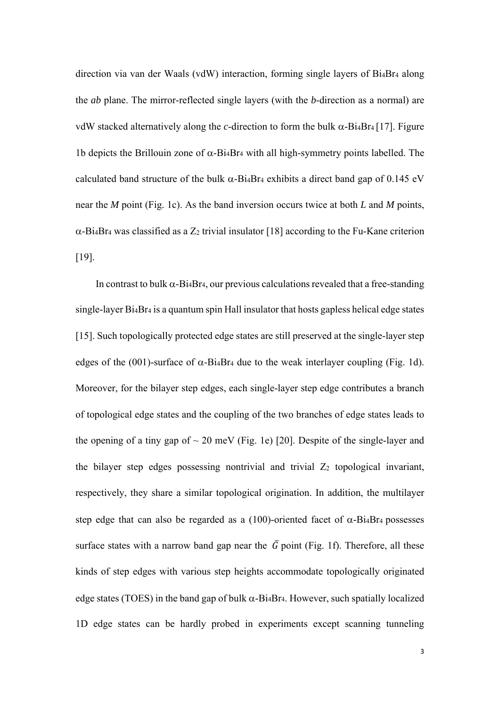direction via van der Waals (vdW) interaction, forming single layers of Bi4Br4 along the *ab* plane. The mirror-reflected single layers (with the *b*-direction as a normal) are vdW stacked alternatively along the *c*-direction to form the bulk  $\alpha$ -Bi<sub>4</sub>Br<sub>4</sub> [17]. Figure 1b depicts the Brillouin zone of  $\alpha$ -Bi<sub>4</sub>Br<sub>4</sub> with all high-symmetry points labelled. The calculated band structure of the bulk  $\alpha$ -Bi<sub>4</sub>Br<sub>4</sub> exhibits a direct band gap of 0.145 eV near the *M* point (Fig. 1c). As the band inversion occurs twice at both *L* and *M* points,  $\alpha$ -Bi<sub>4</sub>Br<sub>4</sub> was classified as a Z<sub>2</sub> trivial insulator [18] according to the Fu-Kane criterion [19].

In contrast to bulk  $\alpha$ -Bi<sub>4</sub>Br<sub>4</sub>, our previous calculations revealed that a free-standing single-layer Bi4Br4 is a quantum spin Hall insulator that hosts gapless helical edge states [15]. Such topologically protected edge states are still preserved at the single-layer step edges of the (001)-surface of  $\alpha$ -Bi<sub>4</sub>Br<sub>4</sub> due to the weak interlayer coupling (Fig. 1d). Moreover, for the bilayer step edges, each single-layer step edge contributes a branch of topological edge states and the coupling of the two branches of edge states leads to the opening of a tiny gap of  $\sim 20$  meV (Fig. 1e) [20]. Despite of the single-layer and the bilayer step edges possessing nontrivial and trivial  $Z_2$  topological invariant, respectively, they share a similar topological origination. In addition, the multilayer step edge that can also be regarded as a (100)-oriented facet of  $\alpha$ -Bi<sub>4</sub>Br<sub>4</sub> possesses surface states with a narrow band gap near the  $\bar{G}$  point (Fig. 1f). Therefore, all these kinds of step edges with various step heights accommodate topologically originated edge states (TOES) in the band gap of bulk  $\alpha$ -Bi4Br4. However, such spatially localized 1D edge states can be hardly probed in experiments except scanning tunneling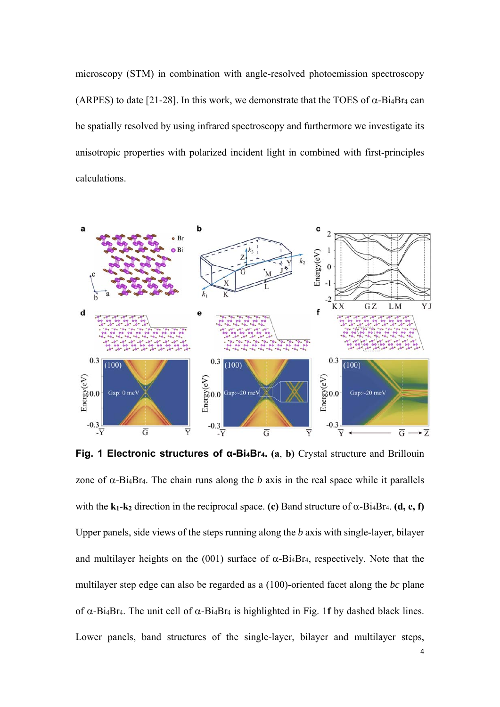microscopy (STM) in combination with angle-resolved photoemission spectroscopy (ARPES) to date [21-28]. In this work, we demonstrate that the TOES of  $\alpha$ -Bi<sub>4</sub>Br<sub>4</sub> can be spatially resolved by using infrared spectroscopy and furthermore we investigate its anisotropic properties with polarized incident light in combined with first-principles calculations.



**Fig. 1 Electronic structures of α-Bi4Br4. (a**, **b)** Crystal structure and Brillouin zone of  $\alpha$ -Bi<sub>4</sub>Br<sub>4</sub>. The chain runs along the *b* axis in the real space while it parallels with the  $\bf{k}_1$ - $\bf{k}_2$  direction in the reciprocal space. **(c)** Band structure of  $\alpha$ -Bi<sub>4</sub>Br<sub>4</sub>. **(d, e, f)** Upper panels, side views of the steps running along the *b* axis with single-layer, bilayer and multilayer heights on the (001) surface of  $\alpha$ -Bi<sub>4</sub>Br<sub>4</sub>, respectively. Note that the multilayer step edge can also be regarded as a (100)-oriented facet along the *bc* plane of  $\alpha$ -Bi<sub>4</sub>Br<sub>4</sub>. The unit cell of  $\alpha$ -Bi<sub>4</sub>Br<sub>4</sub> is highlighted in Fig. 1**f** by dashed black lines. Lower panels, band structures of the single-layer, bilayer and multilayer steps,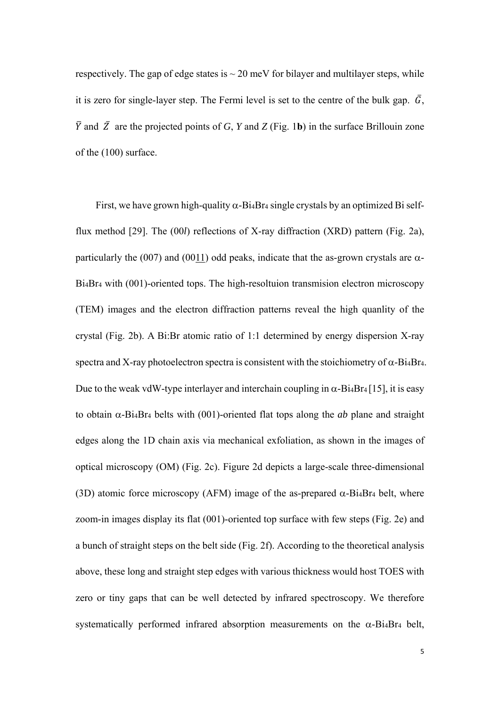respectively. The gap of edge states is  $\sim$  20 meV for bilayer and multilayer steps, while it is zero for single-layer step. The Fermi level is set to the centre of the bulk gap.  $\bar{G}$ ,  $\overline{Y}$  and  $\overline{Z}$  are the projected points of *G*, *Y* and *Z* (Fig. 1b) in the surface Brillouin zone of the (100) surface.

First, we have grown high-quality  $\alpha$ -Bi<sub>4</sub>Br<sub>4</sub> single crystals by an optimized Bi selfflux method [29]. The (00*l*) reflections of X-ray diffraction (XRD) pattern (Fig. 2a), particularly the (007) and (0011) odd peaks, indicate that the as-grown crystals are  $\alpha$ -Bi4Br4 with (001)-oriented tops. The high-resoltuion transmision electron microscopy (TEM) images and the electron diffraction patterns reveal the high quanlity of the crystal (Fig. 2b). A Bi:Br atomic ratio of 1:1 determined by energy dispersion X-ray spectra and X-ray photoelectron spectra is consistent with the stoichiometry of  $\alpha$ -Bi<sub>4</sub>Br<sub>4</sub>. Due to the weak vdW-type interlayer and interchain coupling in  $\alpha$ -Bi<sub>4</sub>Br<sub>4</sub> [15], it is easy to obtain  $\alpha$ -Bi<sub>4</sub>Br<sub>4</sub> belts with (001)-oriented flat tops along the *ab* plane and straight edges along the 1D chain axis via mechanical exfoliation, as shown in the images of optical microscopy (OM) (Fig. 2c). Figure 2d depicts a large-scale three-dimensional (3D) atomic force microscopy (AFM) image of the as-prepared  $\alpha$ -Bi<sub>4</sub>Br<sub>4</sub> belt, where zoom-in images display its flat (001)-oriented top surface with few steps (Fig. 2e) and a bunch of straight steps on the belt side (Fig. 2f). According to the theoretical analysis above, these long and straight step edges with various thickness would host TOES with zero or tiny gaps that can be well detected by infrared spectroscopy. We therefore systematically performed infrared absorption measurements on the  $\alpha$ -Bi<sub>4</sub>Br<sub>4</sub> belt,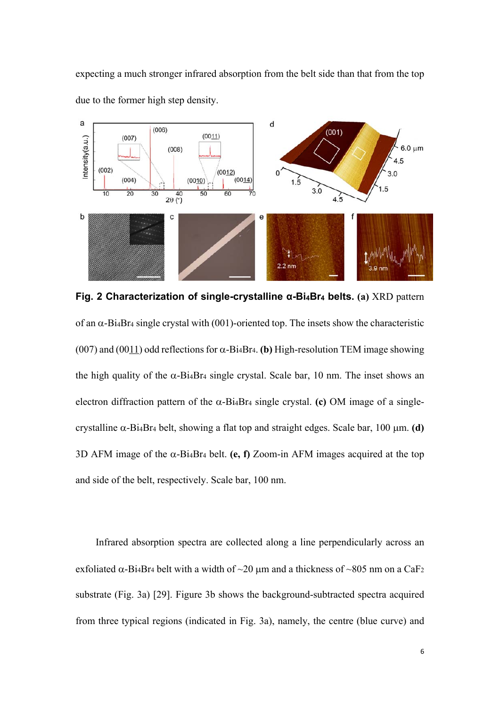expecting a much stronger infrared absorption from the belt side than that from the top due to the former high step density.



**Fig. 2 Characterization of single-crystalline α-Bi4Br4 belts. (a)** XRD pattern of an  $\alpha$ -Bi<sub>4</sub>Br<sub>4</sub> single crystal with (001)-oriented top. The insets show the characteristic (007) and (0011) odd reflections for  $\alpha$ -Bi<sub>4</sub>Br<sub>4</sub>. (b) High-resolution TEM image showing the high quality of the  $\alpha$ -Bi<sub>4</sub>Br<sub>4</sub> single crystal. Scale bar, 10 nm. The inset shows an electron diffraction pattern of the  $\alpha$ -Bi<sub>4</sub>Br<sub>4</sub> single crystal. **(c)** OM image of a singlecrystalline  $\alpha$ -Bi<sub>4</sub>Br<sub>4</sub> belt, showing a flat top and straight edges. Scale bar, 100  $\mu$ m. **(d)** 3D AFM image of the  $\alpha$ -Bi<sub>4</sub>Br<sub>4</sub> belt. **(e, f)** Zoom-in AFM images acquired at the top and side of the belt, respectively. Scale bar, 100 nm.

Infrared absorption spectra are collected along a line perpendicularly across an exfoliated  $\alpha$ -Bi<sub>4</sub>Br<sub>4</sub> belt with a width of  $\sim$ 20  $\mu$ m and a thickness of  $\sim$ 805 nm on a CaF<sub>2</sub> substrate (Fig. 3a) [29]. Figure 3b shows the background-subtracted spectra acquired from three typical regions (indicated in Fig. 3a), namely, the centre (blue curve) and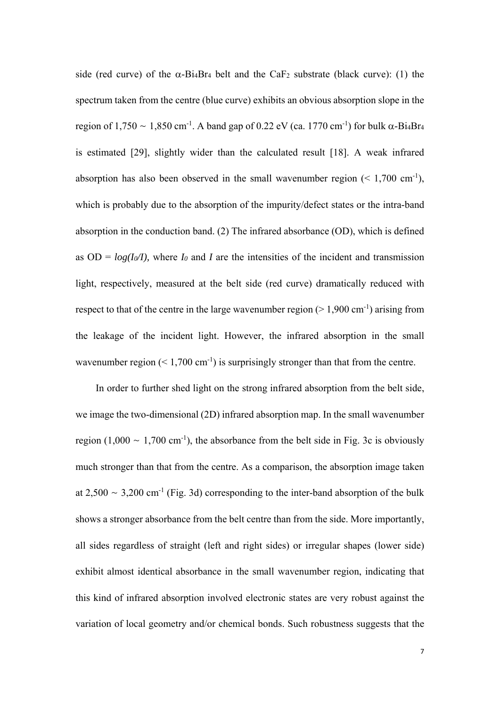side (red curve) of the  $\alpha$ -Bi<sub>4</sub>Br<sub>4</sub> belt and the CaF<sub>2</sub> substrate (black curve): (1) the spectrum taken from the centre (blue curve) exhibits an obvious absorption slope in the region of 1,750 ~ 1,850 cm<sup>-1</sup>. A band gap of 0.22 eV (ca. 1770 cm<sup>-1</sup>) for bulk  $\alpha$ -Bi<sub>4</sub>Br<sub>4</sub> is estimated [29], slightly wider than the calculated result [18]. A weak infrared absorption has also been observed in the small wavenumber region  $(< 1,700 \text{ cm}^{-1})$ , which is probably due to the absorption of the impurity/defect states or the intra-band absorption in the conduction band. (2) The infrared absorbance (OD), which is defined as  $OD = log(I_0/I)$ , where *I<sub>0</sub>* and *I* are the intensities of the incident and transmission light, respectively, measured at the belt side (red curve) dramatically reduced with respect to that of the centre in the large wavenumber region ( $> 1,900$  cm<sup>-1</sup>) arising from the leakage of the incident light. However, the infrared absorption in the small wavenumber region  $(< 1,700 \text{ cm}^{-1})$  is surprisingly stronger than that from the centre.

In order to further shed light on the strong infrared absorption from the belt side, we image the two-dimensional (2D) infrared absorption map. In the small wavenumber region (1,000  $\sim$  1,700 cm<sup>-1</sup>), the absorbance from the belt side in Fig. 3c is obviously much stronger than that from the centre. As a comparison, the absorption image taken at  $2.500 \sim 3.200$  cm<sup>-1</sup> (Fig. 3d) corresponding to the inter-band absorption of the bulk shows a stronger absorbance from the belt centre than from the side. More importantly, all sides regardless of straight (left and right sides) or irregular shapes (lower side) exhibit almost identical absorbance in the small wavenumber region, indicating that this kind of infrared absorption involved electronic states are very robust against the variation of local geometry and/or chemical bonds. Such robustness suggests that the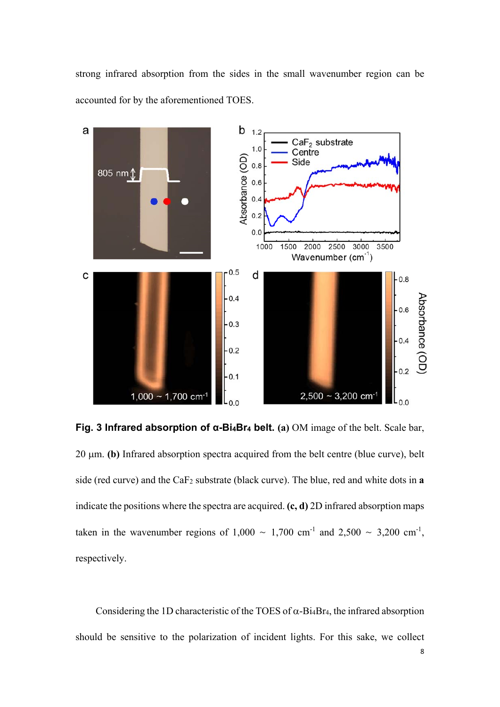strong infrared absorption from the sides in the small wavenumber region can be accounted for by the aforementioned TOES.



**Fig. 3 Infrared absorption of α-Bi4Br4 belt. (a)** OM image of the belt. Scale bar,  $20 \mu m$ . **(b)** Infrared absorption spectra acquired from the belt centre (blue curve), belt side (red curve) and the CaF2 substrate (black curve). The blue, red and white dots in **a**  indicate the positions where the spectra are acquired. **(c, d)** 2D infrared absorption maps taken in the wavenumber regions of  $1,000 \sim 1,700$  cm<sup>-1</sup> and  $2,500 \sim 3,200$  cm<sup>-1</sup>, respectively.

Considering the 1D characteristic of the TOES of  $\alpha$ -Bi<sub>4</sub>Br<sub>4</sub>, the infrared absorption should be sensitive to the polarization of incident lights. For this sake, we collect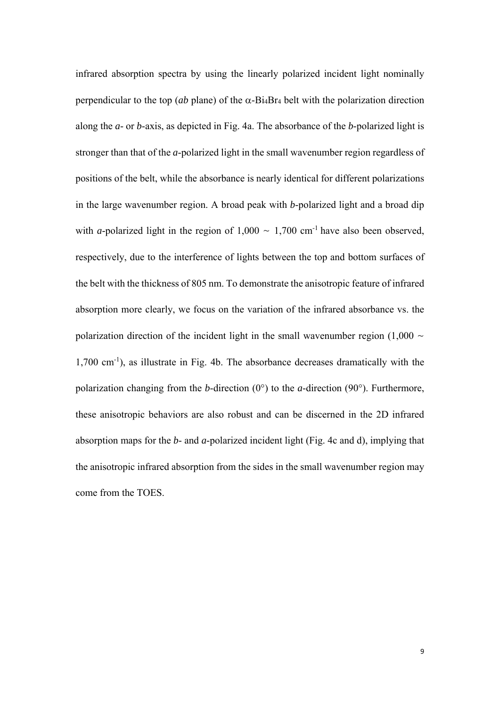infrared absorption spectra by using the linearly polarized incident light nominally perpendicular to the top (*ab* plane) of the  $\alpha$ -Bi<sub>4</sub>Br<sub>4</sub> belt with the polarization direction along the *a*- or *b*-axis, as depicted in Fig. 4a. The absorbance of the *b*-polarized light is stronger than that of the *a*-polarized light in the small wavenumber region regardless of positions of the belt, while the absorbance is nearly identical for different polarizations in the large wavenumber region. A broad peak with *b*-polarized light and a broad dip with *a*-polarized light in the region of  $1,000 \sim 1,700$  cm<sup>-1</sup> have also been observed, respectively, due to the interference of lights between the top and bottom surfaces of the belt with the thickness of 805 nm. To demonstrate the anisotropic feature of infrared absorption more clearly, we focus on the variation of the infrared absorbance vs. the polarization direction of the incident light in the small wavenumber region  $(1,000 \sim$ 1,700 cm-1), as illustrate in Fig. 4b. The absorbance decreases dramatically with the polarization changing from the *b*-direction (0°) to the *a*-direction (90°). Furthermore, these anisotropic behaviors are also robust and can be discerned in the 2D infrared absorption maps for the *b*- and *a*-polarized incident light (Fig. 4c and d), implying that the anisotropic infrared absorption from the sides in the small wavenumber region may come from the TOES.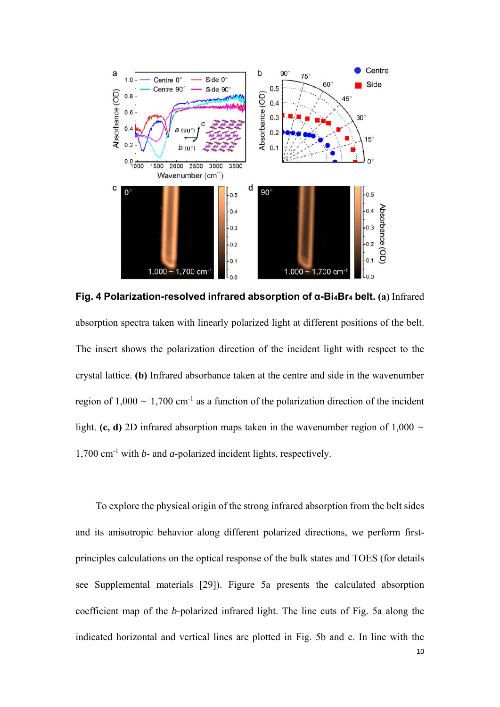

**Fig. 4 Polarization-resolved infrared absorption of α-Bi4Br4 belt. (a)** Infrared absorption spectra taken with linearly polarized light at different positions of the belt. The insert shows the polarization direction of the incident light with respect to the crystal lattice. **(b)** Infrared absorbance taken at the centre and side in the wavenumber region of  $1,000 \sim 1,700$  cm<sup>-1</sup> as a function of the polarization direction of the incident light. **(c, d)** 2D infrared absorption maps taken in the wavenumber region of 1,000  $\sim$ 1,700 cm-1 with *b*- and *a*-polarized incident lights, respectively.

To explore the physical origin of the strong infrared absorption from the belt sides and its anisotropic behavior along different polarized directions, we perform firstprinciples calculations on the optical response of the bulk states and TOES (for details see Supplemental materials [29]). Figure 5a presents the calculated absorption coefficient map of the *b*-polarized infrared light. The line cuts of Fig. 5a along the indicated horizontal and vertical lines are plotted in Fig. 5b and c. In line with the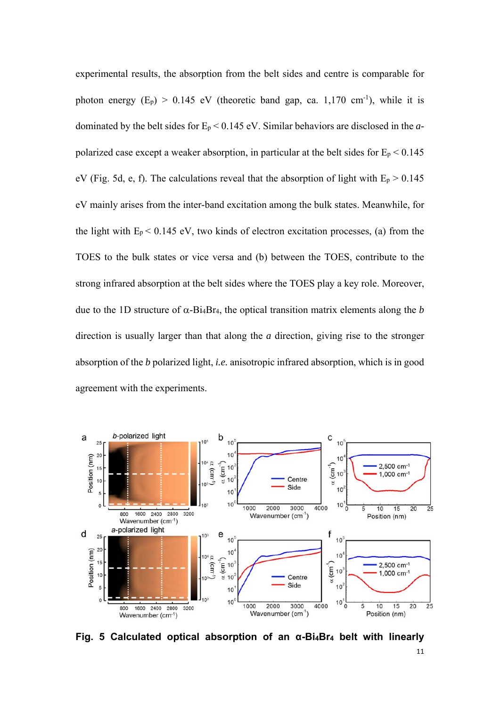experimental results, the absorption from the belt sides and centre is comparable for photon energy  $(E_p) > 0.145$  eV (theoretic band gap, ca. 1,170 cm<sup>-1</sup>), while it is dominated by the belt sides for Ep < 0.145 eV. Similar behaviors are disclosed in the *a*polarized case except a weaker absorption, in particular at the belt sides for  $E_p < 0.145$ eV (Fig. 5d, e, f). The calculations reveal that the absorption of light with  $E_p > 0.145$ eV mainly arises from the inter-band excitation among the bulk states. Meanwhile, for the light with  $E_p < 0.145$  eV, two kinds of electron excitation processes, (a) from the TOES to the bulk states or vice versa and (b) between the TOES, contribute to the strong infrared absorption at the belt sides where the TOES play a key role. Moreover, due to the 1D structure of  $\alpha$ -Bi<sub>4</sub>Br<sub>4</sub>, the optical transition matrix elements along the *b* direction is usually larger than that along the *a* direction, giving rise to the stronger absorption of the *b* polarized light, *i.e.* anisotropic infrared absorption, which is in good agreement with the experiments.



**Fig. 5 Calculated optical absorption of an α-Bi4Br4 belt with linearly**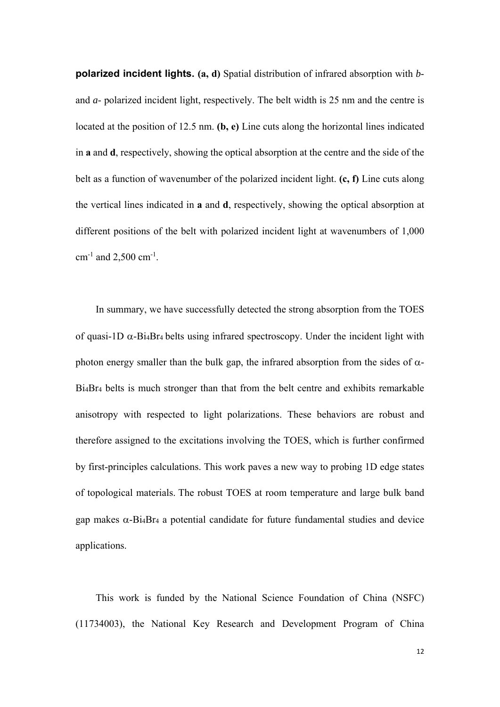**polarized incident lights. (a, d)** Spatial distribution of infrared absorption with *b*and *a*- polarized incident light, respectively. The belt width is 25 nm and the centre is located at the position of 12.5 nm. **(b, e)** Line cuts along the horizontal lines indicated in **a** and **d**, respectively, showing the optical absorption at the centre and the side of the belt as a function of wavenumber of the polarized incident light. **(c, f)** Line cuts along the vertical lines indicated in **a** and **d**, respectively, showing the optical absorption at different positions of the belt with polarized incident light at wavenumbers of 1,000  $cm^{-1}$  and 2,500  $cm^{-1}$ .

In summary, we have successfully detected the strong absorption from the TOES of quasi-1D  $\alpha$ -Bi<sub>4</sub>Br<sub>4</sub> belts using infrared spectroscopy. Under the incident light with photon energy smaller than the bulk gap, the infrared absorption from the sides of  $\alpha$ -Bi4Br4 belts is much stronger than that from the belt centre and exhibits remarkable anisotropy with respected to light polarizations. These behaviors are robust and therefore assigned to the excitations involving the TOES, which is further confirmed by first-principles calculations. This work paves a new way to probing 1D edge states of topological materials. The robust TOES at room temperature and large bulk band gap makes  $\alpha$ -Bi<sub>4</sub>Br<sub>4</sub> a potential candidate for future fundamental studies and device applications.

This work is funded by the National Science Foundation of China (NSFC) (11734003), the National Key Research and Development Program of China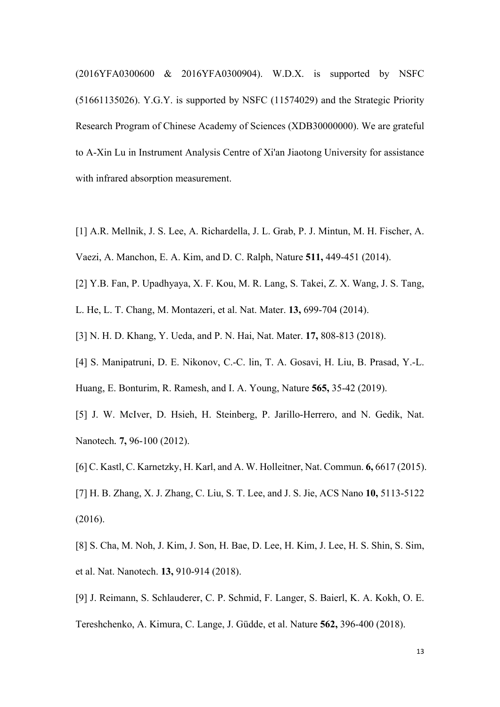(2016YFA0300600 & 2016YFA0300904). W.D.X. is supported by NSFC (51661135026). Y.G.Y. is supported by NSFC (11574029) and the Strategic Priority Research Program of Chinese Academy of Sciences (XDB30000000). We are grateful to A-Xin Lu in Instrument Analysis Centre of Xi'an Jiaotong University for assistance with infrared absorption measurement.

- [1] A.R. Mellnik, J. S. Lee, A. Richardella, J. L. Grab, P. J. Mintun, M. H. Fischer, A.
- Vaezi, A. Manchon, E. A. Kim, and D. C. Ralph, Nature **511,** 449-451 (2014).
- [2] Y.B. Fan, P. Upadhyaya, X. F. Kou, M. R. Lang, S. Takei, Z. X. Wang, J. S. Tang,
- L. He, L. T. Chang, M. Montazeri, et al. Nat. Mater. **13,** 699-704 (2014).
- [3] N. H. D. Khang, Y. Ueda, and P. N. Hai, Nat. Mater. **17,** 808-813 (2018).
- [4] S. Manipatruni, D. E. Nikonov, C.-C. lin, T. A. Gosavi, H. Liu, B. Prasad, Y.-L.
- Huang, E. Bonturim, R. Ramesh, and I. A. Young, Nature **565,** 35-42 (2019).
- [5] J. W. McIver, D. Hsieh, H. Steinberg, P. Jarillo-Herrero, and N. Gedik, Nat. Nanotech*.* **7,** 96-100 (2012).
- [6] C. Kastl, C. Karnetzky, H. Karl, and A. W. Holleitner, Nat. Commun. **6,** 6617 (2015).
- [7] H. B. Zhang, X. J. Zhang, C. Liu, S. T. Lee, and J. S. Jie, ACS Nano **10,** 5113-5122 (2016).
- [8] S. Cha, M. Noh, J. Kim, J. Son, H. Bae, D. Lee, H. Kim, J. Lee, H. S. Shin, S. Sim, et al. Nat. Nanotech. **13,** 910-914 (2018).
- [9] J. Reimann, S. Schlauderer, C. P. Schmid, F. Langer, S. Baierl, K. A. Kokh, O. E. Tereshchenko, A. Kimura, C. Lange, J. Güdde, et al. Nature **562,** 396-400 (2018).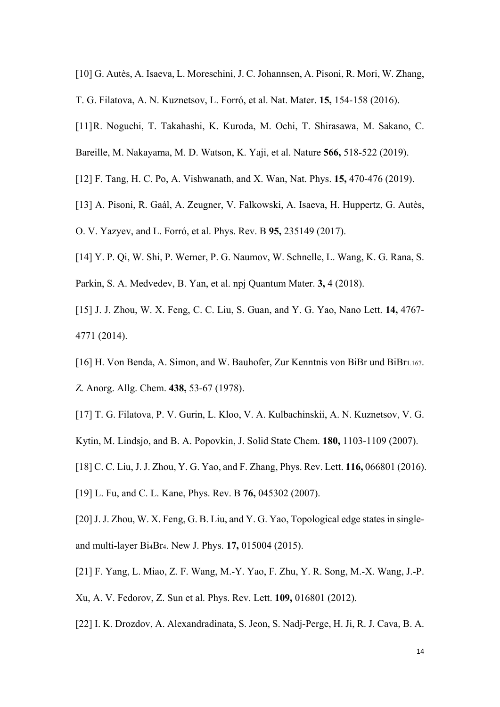- [10] G. Autès, A. Isaeva, L. Moreschini, J. C. Johannsen, A. Pisoni, R. Mori, W. Zhang,
- T. G. Filatova, A. N. Kuznetsov, L. Forró, et al. Nat. Mater. **15,** 154-158 (2016).
- [11] R. Noguchi, T. Takahashi, K. Kuroda, M. Ochi, T. Shirasawa, M. Sakano, C.
- Bareille, M. Nakayama, M. D. Watson, K. Yaji, et al. Nature **566,** 518-522 (2019).
- [12] F. Tang, H. C. Po, A. Vishwanath, and X. Wan, Nat. Phys. **15,** 470-476 (2019).
- [13] A. Pisoni, R. Gaál, A. Zeugner, V. Falkowski, A. Isaeva, H. Huppertz, G. Autès,
- O. V. Yazyev, and L. Forró, et al. Phys. Rev. B **95,** 235149 (2017).
- [14] Y. P. Qi, W. Shi, P. Werner, P. G. Naumov, W. Schnelle, L. Wang, K. G. Rana, S.
- Parkin, S. A. Medvedev, B. Yan, et al. npj Quantum Mater. **3,** 4 (2018).
- [15] J. J. Zhou, W. X. Feng, C. C. Liu, S. Guan, and Y. G. Yao, Nano Lett. **14,** 4767- 4771 (2014).
- [16] H. Von Benda, A. Simon, and W. Bauhofer, Zur Kenntnis von BiBr und BiBr1.167.
- *Z.* Anorg. Allg. Chem. **438,** 53-67 (1978).
- [17] T. G. Filatova, P. V. Gurin, L. Kloo, V. A. Kulbachinskii, A. N. Kuznetsov, V. G. Kytin, M. Lindsjo, and B. A. Popovkin, J. Solid State Chem. **180,** 1103-1109 (2007).
- [18] C. C. Liu, J. J. Zhou, Y. G. Yao, and F. Zhang, Phys. Rev. Lett. **116,** 066801 (2016).
- [19] L. Fu, and C. L. Kane, Phys. Rev. B **76,** 045302 (2007).
- [20] J. J. Zhou, W. X. Feng, G. B. Liu, and Y. G. Yao, Topological edge states in singleand multi-layer Bi4Br4. New J. Phys. **17,** 015004 (2015).
- [21] F. Yang, L. Miao, Z. F. Wang, M.-Y. Yao, F. Zhu, Y. R. Song, M.-X. Wang, J.-P.
- Xu, A. V. Fedorov, Z. Sun et al. Phys. Rev. Lett. **109,** 016801 (2012).
- [22] I. K. Drozdov, A. Alexandradinata, S. Jeon, S. Nadj-Perge, H. Ji, R. J. Cava, B. A.